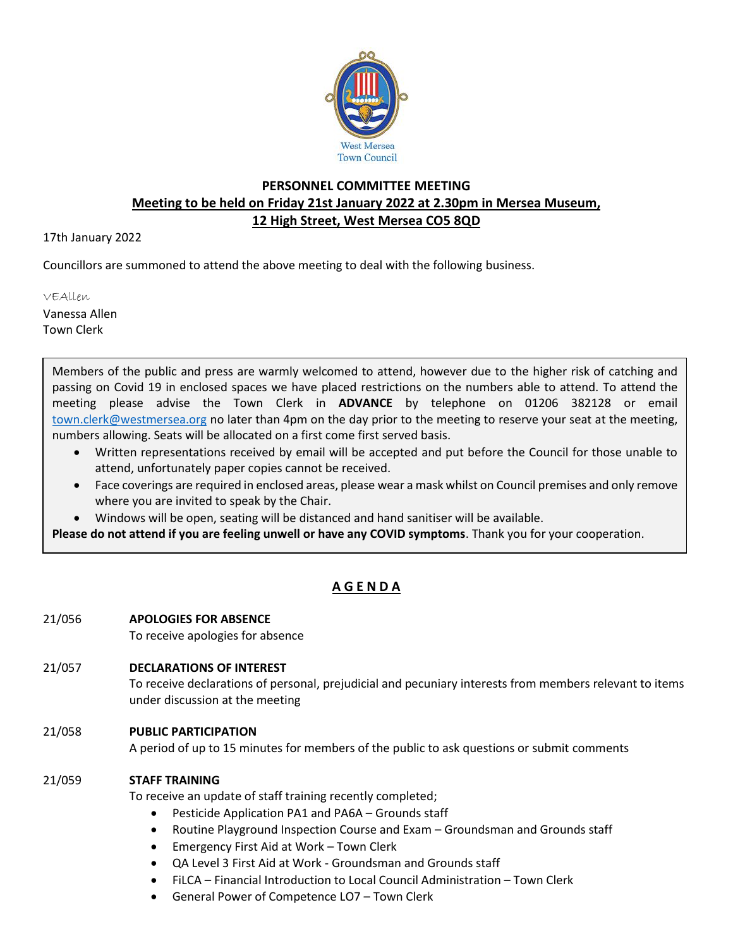

## **PERSONNEL COMMITTEE MEETING Meeting to be held on Friday 21st January 2022 at 2.30pm in Mersea Museum, 12 High Street, West Mersea CO5 8QD**

17th January 2022

Councillors are summoned to attend the above meeting to deal with the following business.

VEAllen

Vanessa Allen Town Clerk

> Members of the public and press are warmly welcomed to attend, however due to the higher risk of catching and passing on Covid 19 in enclosed spaces we have placed restrictions on the numbers able to attend. To attend the meeting please advise the Town Clerk in **ADVANCE** by telephone on 01206 382128 or email [town.clerk@westmersea.org](mailto:town.clerk@westmersea.org) no later than 4pm on the day prior to the meeting to reserve your seat at the meeting, numbers allowing. Seats will be allocated on a first come first served basis.

- Written representations received by email will be accepted and put before the Council for those unable to attend, unfortunately paper copies cannot be received.
- Face coverings are required in enclosed areas, please wear a mask whilst on Council premises and only remove where you are invited to speak by the Chair.
- Windows will be open, seating will be distanced and hand sanitiser will be available.

**Please do not attend if you are feeling unwell or have any COVID symptoms**. Thank you for your cooperation.

## **A G E N D A**

- 21/056 **APOLOGIES FOR ABSENCE**
	- To receive apologies for absence
- 21/057 **DECLARATIONS OF INTEREST**

To receive declarations of personal, prejudicial and pecuniary interests from members relevant to items under discussion at the meeting

## 21/058 **PUBLIC PARTICIPATION**

A period of up to 15 minutes for members of the public to ask questions or submit comments

## 21/059 **STAFF TRAINING**

To receive an update of staff training recently completed;

- Pesticide Application PA1 and PA6A Grounds staff
- Routine Playground Inspection Course and Exam Groundsman and Grounds staff
- Emergency First Aid at Work Town Clerk
- QA Level 3 First Aid at Work Groundsman and Grounds staff
- FiLCA Financial Introduction to Local Council Administration Town Clerk
- General Power of Competence LO7 Town Clerk